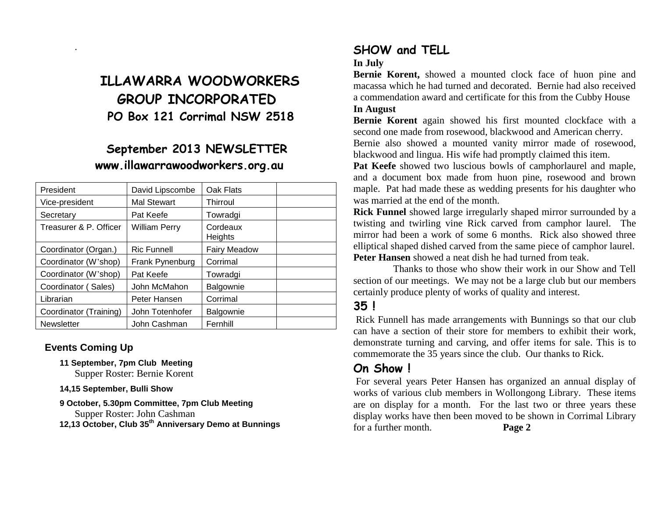# **ILLAWARRA WOODWORKERS GROUP INCORPORATED PO Box 121 Corrimal NSW 2518**

## **September 2013 NEWSLETTER www.illawarrawoodworkers.org.au**

| President              | David Lipscombe      | Oak Flats           |  |
|------------------------|----------------------|---------------------|--|
| Vice-president         | <b>Mal Stewart</b>   | <b>Thirroul</b>     |  |
| Secretary              | Pat Keefe            | Towradgi            |  |
| Treasurer & P. Officer | <b>William Perry</b> | Cordeaux<br>Heights |  |
| Coordinator (Organ.)   | <b>Ric Funnell</b>   | <b>Fairy Meadow</b> |  |
| Coordinator (W'shop)   | Frank Pynenburg      | Corrimal            |  |
| Coordinator (W'shop)   | Pat Keefe            | Towradgi            |  |
| Coordinator (Sales)    | John McMahon         | Balgownie           |  |
| Librarian              | Peter Hansen         | Corrimal            |  |
| Coordinator (Training) | John Totenhofer      | Balgownie           |  |
| <b>Newsletter</b>      | John Cashman         | Fernhill            |  |

#### **Events Coming Up**

.

- **11 September, 7pm Club Meeting** Supper Roster: Bernie Korent
- **14,15 September, Bulli Show**

#### **9 October, 5.30pm Committee, 7pm Club Meeting** Supper Roster: John Cashman

**12,13 October, Club 35th Anniversary Demo at Bunnings**

### **SHOW and TELL**

#### **In July**

**Bernie Korent,** showed a mounted clock face of huon pine and macassa which he had turned and decorated. Bernie had also received a commendation award and certificate for this from the Cubby House **In August**

**Bernie Korent** again showed his first mounted clockface with a second one made from rosewood, blackwood and American cherry.

Bernie also showed a mounted vanity mirror made of rosewood, blackwood and lingua. His wife had promptly claimed this item.

**Pat Keefe** showed two luscious bowls of camphorlaurel and maple, and a document box made from huon pine, rosewood and brown maple. Pat had made these as wedding presents for his daughter who was married at the end of the month.

**Rick Funnel** showed large irregularly shaped mirror surrounded by a twisting and twirling vine Rick carved from camphor laurel. The mirror had been a work of some 6 months. Rick also showed three elliptical shaped dished carved from the same piece of camphor laurel. **Peter Hansen** showed a neat dish he had turned from teak.

 Thanks to those who show their work in our Show and Tell section of our meetings. We may not be a large club but our members certainly produce plenty of works of quality and interest.

### **35 !**

Rick Funnell has made arrangements with Bunnings so that our club can have a section of their store for members to exhibit their work, demonstrate turning and carving, and offer items for sale. This is to commemorate the 35 years since the club. Our thanks to Rick.

### **On Show !**

For several years Peter Hansen has organized an annual display of works of various club members in Wollongong Library. These items are on display for a month. For the last two or three years these display works have then been moved to be shown in Corrimal Library for a further month. **Page 2**